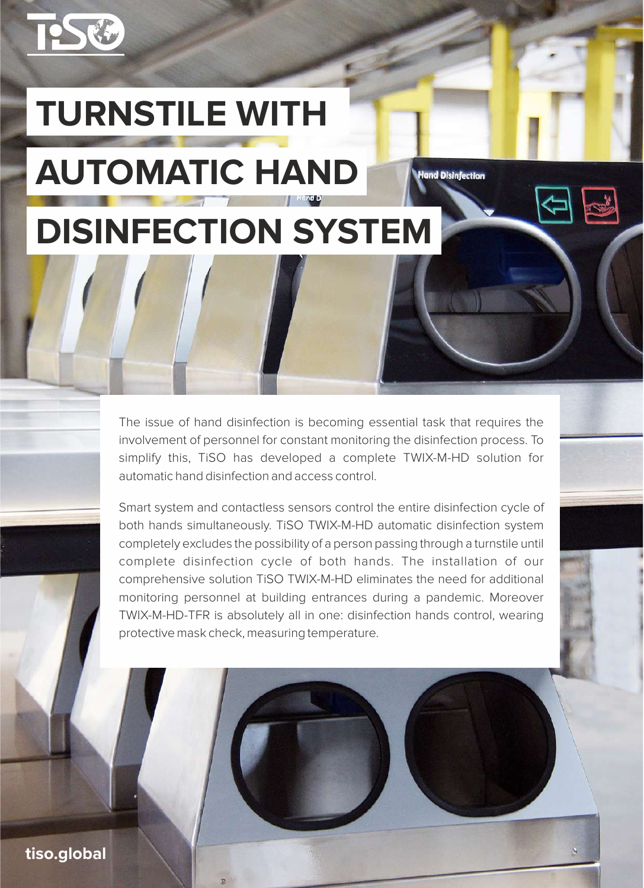

# **TURNSTILE WITH AUTOMATIC HAND**

## **DISINFECTION SYSTEM**

The issue of hand disinfection is becoming essential task that requires the involvement of personnel for constant monitoring the disinfection process. To simplify this, TiSO has developed a complete TWIX-M-HD solution for automatic hand disinfection and access control.

**Hand Disinfection** 

Smart system and contactless sensors control the entire disinfection cycle of both hands simultaneously. TiSO TWIX-M-HD automatic disinfection system completely excludes the possibility of a person passing through a turnstile until complete disinfection cycle of both hands. The installation of our comprehensive solution TiSO TWIX-M-HD eliminates the need for additional monitoring personnel at building entrances during a pandemic. Moreover TWIX-M-HD-TFR is absolutely all in one: disinfection hands control, wearing protective mask check, measuring temperature.

**tiso.global**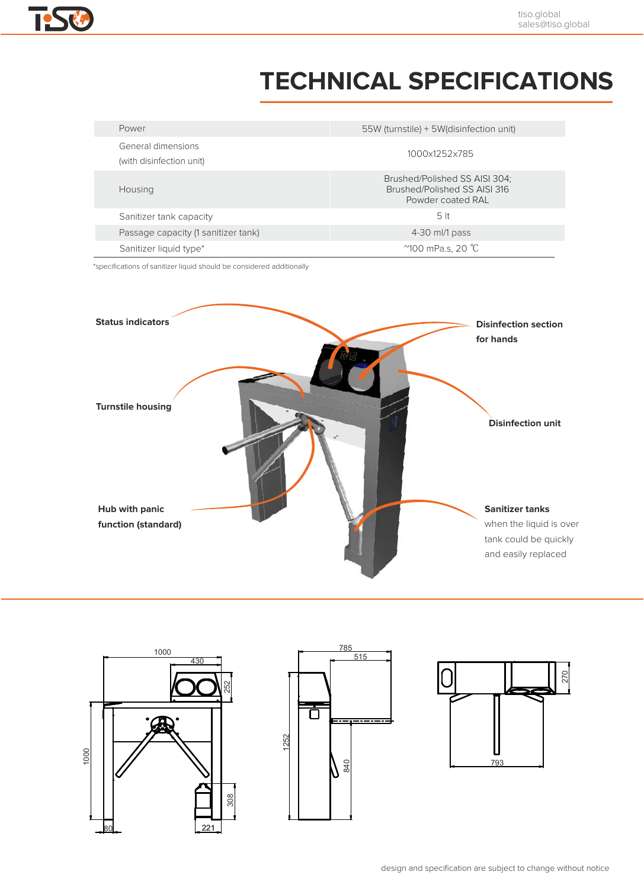### **TECHNICAL SPECIFICATIONS**

| Power                                          | 55W (turnstile) + 5W (disinfection unit)                                           |
|------------------------------------------------|------------------------------------------------------------------------------------|
| General dimensions<br>(with disinfection unit) | 1000x1252x785                                                                      |
| Housing                                        | Brushed/Polished SS AISI 304;<br>Brushed/Polished SS AISI 316<br>Powder coated RAL |
| Sanitizer tank capacity                        | 5 <sub>lt</sub>                                                                    |
| Passage capacity (1 sanitizer tank)            | 4-30 ml/1 pass                                                                     |
| Sanitizer liquid type*                         | $^{\prime\prime}$ 100 mPa.s. 20 °C                                                 |

\*specifications of sanitizer liquid should be considered additionally







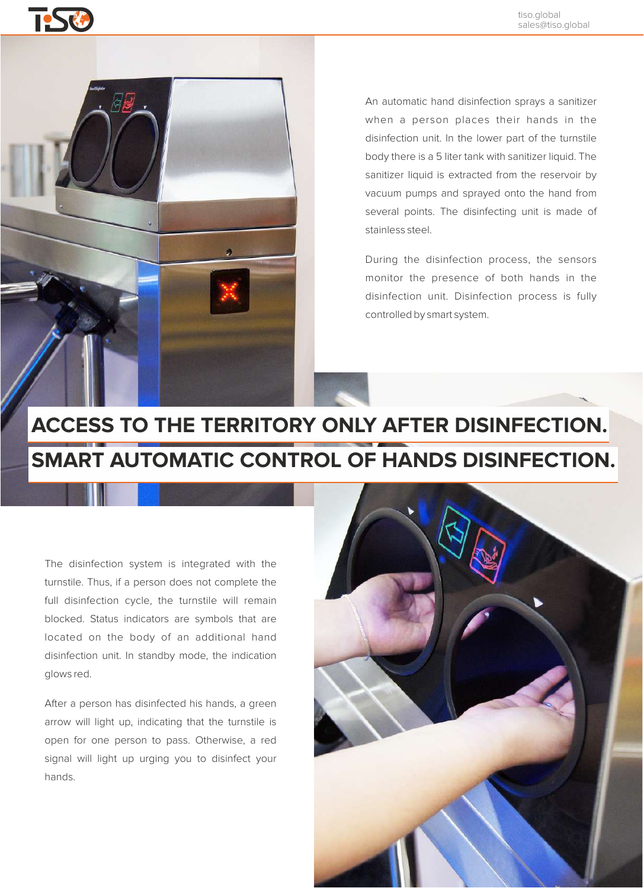

An automatic hand disinfection sprays a sanitizer when a person places their hands in the disinfection unit. In the lower part of the turnstile body there is a 5 liter tank with sanitizer liquid. The sanitizer liquid is extracted from the reservoir by vacuum pumps and sprayed onto the hand from several points. The disinfecting unit is made of stainless steel.

During the disinfection process, the sensors monitor the presence of both hands in the disinfection unit. Disinfection process is fully controlled by smart system.

### **ACCESS TO THE TERRITORY ONLY AFTER DISINFECTION. SMART AUTOMATIC CONTROL OF HANDS DISINFECTION.**

The disinfection system is integrated with the turnstile. Thus, if a person does not complete the full disinfection cycle, the turnstile will remain blocked. Status indicators are symbols that are located on the body of an additional hand disinfection unit. In standby mode, the indication glows red.

After a person has disinfected his hands, a green arrow will light up, indicating that the turnstile is open for one person to pass. Otherwise, a red signal will light up urging you to disinfect your hands.

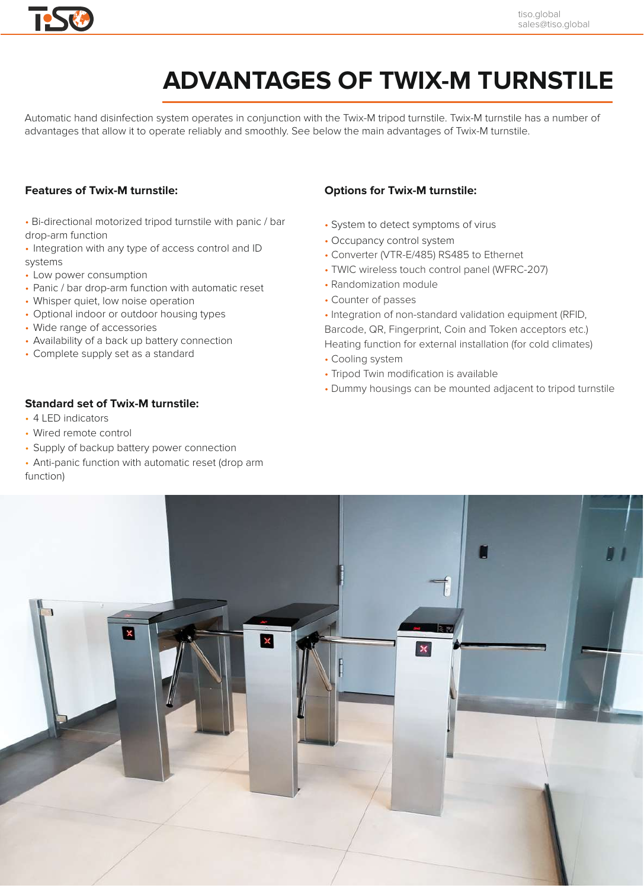

### **ADVANTAGES OF TWIX-M TURNSTILE**

Automatic hand disinfection system operates in conjunction with the Twix-M tripod turnstile. Twix-M turnstile has a number of advantages that allow it to operate reliably and smoothly. See below the main advantages of Twix-M turnstile.

### **Features of Twix-M turnstile:**

- Bi-directional motorized tripod turnstile with panic / bar drop-arm function
- Integration with any type of access control and ID systems
- Low power consumption
- Panic / bar drop-arm function with automatic reset
- Whisper quiet, low noise operation
- Optional indoor or outdoor housing types
- Wide range of accessories
- Availability of a back up battery connection
- Complete supply set as a standard

### **Options for Twix-M turnstile:**

- System to detect symptoms of virus
- Occupancy control system
- Converter (VTR-E/485) RS485 to Ethernet
- TWIC wireless touch control panel (WFRC-207)
- Randomization module
- Counter of passes
- Integration of non-standard validation equipment (RFID, Barcode, QR, Fingerprint, Coin and Token acceptors etc.) Heating function for external installation (for cold climates)
- Cooling system
- Tripod Twin modification is available
- Dummy housings can be mounted adjacent to tripod turnstile

### **Standard set of Twix-M turnstile:**

- 4 LED indicators
- Wired remote control
- Supply of backup battery power connection
- Anti-panic function with automatic reset (drop arm function)

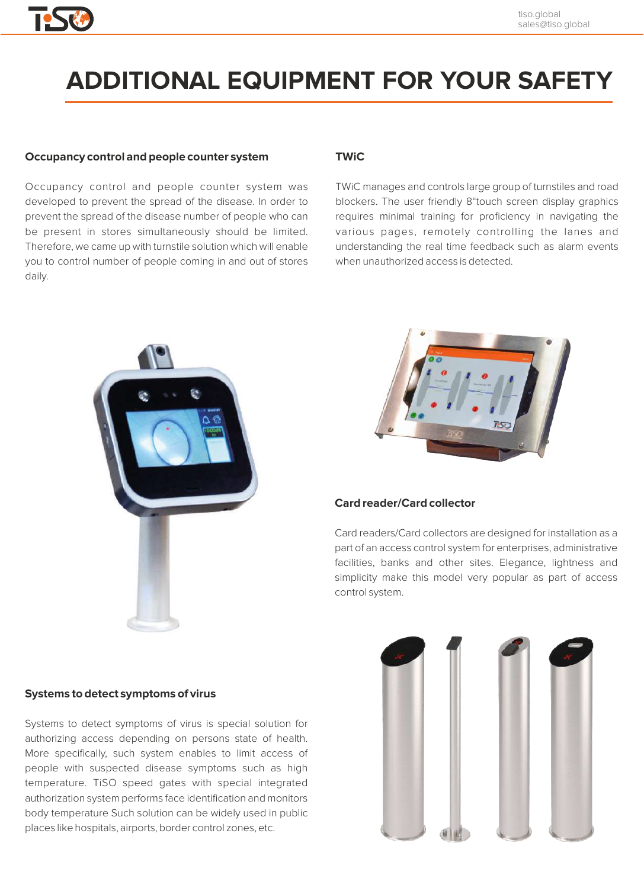#### tiso.global sales@tiso.global

### **ADDITIONAL EQUIPMENT FOR YOUR SAFETY**

#### **Occupancy control and people counter system**

Occupancy control and people counter system was developed to prevent the spread of the disease. In order to prevent the spread of the disease number of people who can be present in stores simultaneously should be limited. Therefore, we came up with turnstile solution which will enable you to control number of people coming in and out of stores daily.

### **TWiC**

TWiC manages and controls large group of turnstiles and road blockers. The user friendly 8"touch screen display graphics requires minimal training for proficiency in navigating the various pages, remotely controlling the lanes and understanding the real time feedback such as alarm events when unauthorized access is detected.





### **Card reader/Card collector**

Card readers/Сard collectors are designed for installation as a part of an access control system for enterprises, administrative facilities, banks and other sites. Elegance, lightness and simplicity make this model very popular as part of access control system.



### **Systems to detect symptoms of virus**

Systems to detect symptoms of virus is special solution for authorizing access depending on persons state of health. More specifically, such system enables to limit access of people with suspected disease symptoms such as high temperature. TiSO speed gates with special integrated authorization system performs face identification and monitors body temperature Such solution can be widely used in public places like hospitals, airports, border control zones, etc.